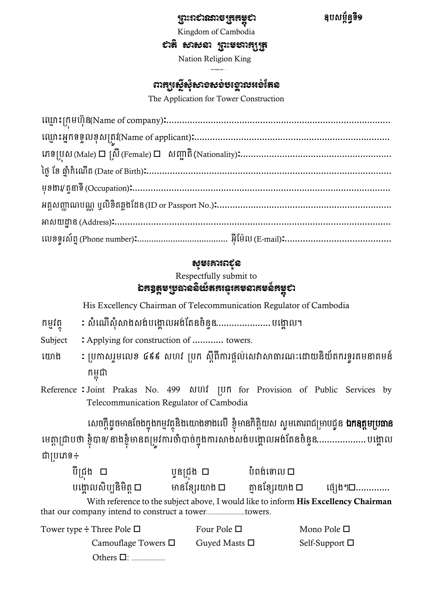#### ព្រះរាជាណាចព្ររម្ពុជា

ឧរសមព័នធទី១

Kingdom of Cambodia

សាន់ សាសនា ព្រះមបារក្សត្រ

Nation Religion King  $\leftrightarrow$  regions

### ពារដលែនទីសំរុងស្រួលនេះស្រុងស្រួលនេះ

The Application for Tower Construction

| $\texttt{IQQ18}[\texttt{m}] \texttt{HQ18}(\texttt{Name of company}) \texttt{1} \texttt{1} \texttt{1} \texttt{1} \texttt{2} \texttt{1} \texttt{2} \texttt{3} \texttt{3} \texttt{4} \texttt{4} \texttt{5} \texttt{4} \texttt{5} \texttt{5} \texttt{6} \texttt{6} \texttt{6} \texttt{7} \texttt{6} \texttt{7} \texttt{7} \texttt{6} \texttt{7} \texttt{7} \texttt{8} \texttt{8} \texttt{1} \texttt{1} \texttt{1} \texttt{1} \$                    |
|------------------------------------------------------------------------------------------------------------------------------------------------------------------------------------------------------------------------------------------------------------------------------------------------------------------------------------------------------------------------------------------------------------------------------------------------|
|                                                                                                                                                                                                                                                                                                                                                                                                                                                |
|                                                                                                                                                                                                                                                                                                                                                                                                                                                |
| ថ្ងៃ ខែ ឆ្នាំកំណើត (Date of Birth):……………………………………………………………………………………                                                                                                                                                                                                                                                                                                                                                                            |
| $\qquad \qquad \mbox{if} \ \mathfrak{M} \qquad \qquad \mbox{if} \ \mathfrak{M} \qquad \qquad \mbox{if} \ \mathfrak{M} \qquad \qquad \mbox{if} \ \mathfrak{M} \qquad \qquad \mbox{if} \ \mathfrak{M} \qquad \qquad \mbox{if} \ \mathfrak{M} \qquad \qquad \mbox{if} \ \mathfrak{M} \qquad \qquad \mbox{if} \ \mathfrak{M} \qquad \qquad \mbox{if} \ \mathfrak{M} \qquad \qquad \mbox{if} \ \mathfrak{M} \qquad \qquad \mbox{if} \ \mathfrak{M}$ |
|                                                                                                                                                                                                                                                                                                                                                                                                                                                |
| $\texttt{Hibt} \texttt{tib} \texttt{f} \texttt{f} \texttt{A} \texttt{dd} \texttt{ress} \texttt{f} \texttt{} \texttt{} \texttt{} \texttt{} \texttt{} \texttt{} \texttt{} \texttt{} \texttt{} \texttt{} \texttt{} \texttt{} \texttt{} \texttt{} \texttt{} \texttt{} \texttt{} \texttt{} \texttt{} \texttt{} \texttt{} \texttt{} \texttt{} \texttt{} \texttt{} \texttt{} \texttt{} \texttt{} \$                                                   |
|                                                                                                                                                                                                                                                                                                                                                                                                                                                |

### សូម្សោររជូន

Respectfully submit to

### ឯកឧត្តមប្រធាននិយ័តភរនូវគមនាគមន៍គម្ពុជា

His Excellency Chairman of Telecommunication Regulator of Cambodia

- កម្មវត្ថុ សំណើសុំសាងសង់បង្គោលអង់តែនចំនួន......................... បង្គោល។
- Subject : Applying for construction of ............ towers.
- ឈោង ³ ក្រកាសរួមឈលខ ៤៩៩ សហវ ក្ររ សដីព្ីការផ្ដល់ឈសវាសាធារ ៈឈដ្ឋយនិយ័រររទូរគមនាគមន៍ រមពុជា
- Reference : Joint Prakas No. 499 សហវ ប្រក for Provision of Public Services by Telecommunication Regulator of Cambodia

សេចក្តីដ្ធចមានចែងក្នុងកម្មវត្ថុនិងយោងខាងលើ ខ្ញុំមានកិត្តិយស ស្ងមគោរពជម្រាបជ្ងន **ឯកឧត្តមប្រធាន** មេត្តាជ្រាបថា ខ្ញុំបាទ/នាងខ្ញុំមានតម្រូវការចាំបាច់ក្នុងការសាងសង់បង្គោលអង់តែនចំនួន......................បង្គោល ជាក្រឈេទ៖

| បីជ្រង □                                            | ប្អូនជ្រង □      | បំពង់ទោល □                                                                                 |                     |
|-----------------------------------------------------|------------------|--------------------------------------------------------------------------------------------|---------------------|
| បង្គោលសិប្បនិមិត្ត □                                | មានខ្សែរយាង ប    | គ្មានខ្សែរយាង □                                                                            | ផ្សេងៗ□             |
| that our company intend to construct a towertowers. |                  | With reference to the subject above, I would like to inform <b>His Excellency Chairman</b> |                     |
| Tower type $\div$ Three Pole $\Box$                 | Four Pole $\Box$ |                                                                                            | Mono Pole $\square$ |

| $\cup$ type $\overline{\cdot}$ there i one $\sqcup$ |                    | IVIUIU I UIU $\Box$ |
|-----------------------------------------------------|--------------------|---------------------|
| Camouflage Towers $\Box$                            | Guyed Masts $\Box$ | Self-Support $\Box$ |
|                                                     |                    |                     |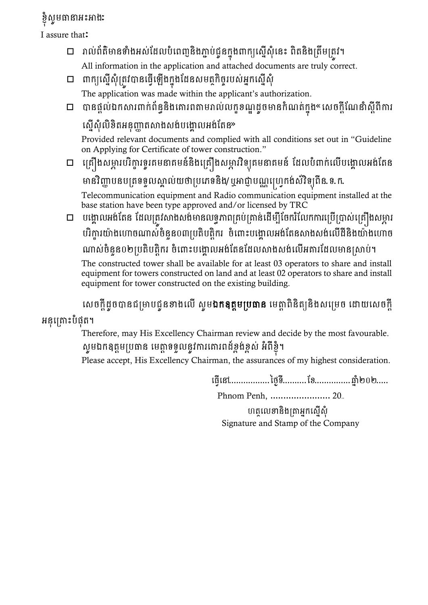# ខ្ញុំសូមធានាអះអាងៈ

I assure that:

- រាល់ព្័រ៌មានោាំងអ្ស់ខែលរាំឈព្ញនិងភ្ជា រ់ជូនរនុងពារយឈសនើស៊ុាំឈនោះ ព្ិរនិងក្រឹមក្រូវ។ All information in the application and attached documents are truly correct.
- ពារយឈសនើស៊ុាំក្រូវបានឈ្វើឈ ើងរនុងខែនសមរថរិចចររស់អ្នរឈសនើស៊ុាំ The application was made within the applicant's authorization.
- $\Box$  បានផ្តល់ឯកសារពាក់ព័ន្ធនិងគោរពតាមរាល់លក្ខខណ្ឌដូចមានកំណត់ក្នុង« សេចក្តីណែនាំស្តីពីការ

ស្នើសុំលិខិតអនុញ្ញាតសាងសង់បង្គោលអង់តែន»

Provided relevant documents and complied with all conditions set out in "Guideline on Applying for Certificate of tower construction."

□ គ្រឿងសម្ភារបរិក្ខារទូរគមនាគមន៍និងគ្រឿងសម្ភារវិទ្យុគមនាគមន៍ ដែលបំពាក់លើបង្គោលអង់តែន មានវិញ្ញាបនបត្រទទួលស្គាល់យថាប្រភេទនិង/ឬអាជ្ញាបណ្ណប្រេ្វកង់ស៍វិទ្យុពីន.ទ.ក.

Telecommunication equipment and Radio communication equipment installed at the base station have been type approved and/or licensed by TRC

 $\Box$  បង្គោលអង់តែន ដែលត្រវសាងសង់មានលទ្ធភាពគ្រប់គ្រាន់ដើម្បីចែករំលែកការប្រើប្រាស់គ្រឿងសម្ភារ បរិក្ខារយ៉ាងហោចណាស់ចំនួន០៣ប្រតិបត្តិករ ចំពោះបង្គោលអង់តែនសាងសង់លើដីនិងយ៉ាងហោច ណាស់ចំនួន០២ប្រតិបត្តិករ ចំពោះបង្គោលអង់តែនដែលសាងសង់លើអគារដែលមានស្រាប់។

The constructed tower shall be available for at least 03 operators to share and install equipment for towers constructed on land and at least 02 operators to share and install equipment for tower constructed on the existing building.

លេចក្តីដូចបានជម្រាបជូនខាងលើ ស្ងម**ឯកឧត្តមប្រធាន** មេត្តាពិនិត្យនិងសម្រេច ដោយសេចក្តី

## អនុគ្រោះបំផុត។

Therefore, may His Excellency Chairman review and decide by the most favourable. សូមឯកឧត្តមប្រធាន មេត្តាទទួលនូវការតោរពដ៍ខ្ទង់ខ្ពស់ អំពីខ្ញុំ។

Please accept, His Excellency Chairman, the assurances of my highest consideration.

ឈ្វើឈៅ.................ថ្ងៃទី..........ខខ...............ឆ្ន ាំ២០២.....

Phnom Penh, ....................... 20..

ហត្ថលេខានិងត្រាអ្នកស្នើសុំ Signature and Stamp of the Company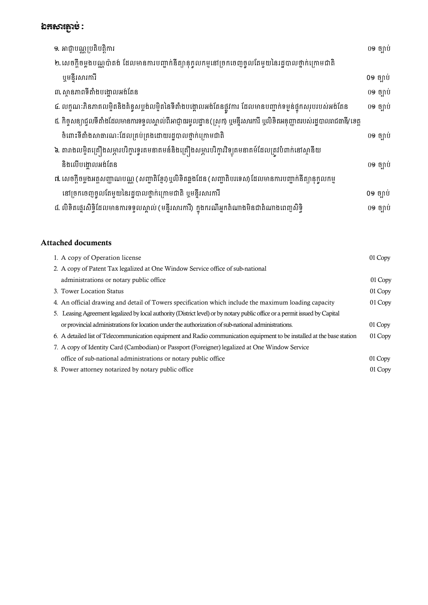## ឯកសារភ្ជាប់ $\colon$

| ១. អាជ្ញាបណ្ណប្រតិបត្តិការ                                                                                               | 09 ច្បាប់ |
|--------------------------------------------------------------------------------------------------------------------------|-----------|
| ២. សេចក្តីចម្លងបណ្ណប៉ាតង់ ដែលមានការបញ្ចាក់នីត្យានុកូលកម្មនៅច្រកចេញចូលតែមួយនៃរដ្ឋបាលថ្នាក់ក្រោមជាតិ                       |           |
| ឬមន្ទីរសារការី                                                                                                           | 09 ច្បាប់ |
| ៣. ស្ថានភាពទីតាំងបង្គោលអង់តែន                                                                                            | 09 ច្បាប់ |
| ៤. លក្ខណៈភិនភាគលម្អិតនិងគំនូសប្លង់លម្អិតនៃទីតាំងបង្គោលអង់តែនផ្លូវការ ដែលមានបញ្ជាក់ទម្ងន់ផ្ទុកសរុបរបស់អង់តែន              | 09 ច្បាប់ |
| ៥. កិច្ចសន្យាជ្ចលទីតាំងដែលមានការទទួលស្គាល់ពីអាជ្ញាធរមូលដ្ឋាន(ស្រក) ឬមន្ទីរសារការី ឬលិខិតអនុញ្ញាតរបស់រដ្ឋបាលរាជធានី/ខេត្ត |           |
| ចំពោះទីតាំងសាធារណៈដែលគ្រប់គ្រងដោយរដ្ឋបាលថ្នាក់ក្រោមជាតិ                                                                  | 09 ច្បាប់ |
| ៦. តារាងលម្អិតគ្រឿងសម្ភារបរិក្ខារទូរគមនាគមន៍និងគ្រឿងសម្ភារបរិក្ខារវិទ្យុគមនាគម៍ដែលត្រូវបំពាក់នៅស្ថានីយ                   |           |
| និងលើបង្គោលអង់តែន                                                                                                        | 09 ច្បាប់ |
| ៧. សេចក្តីចម្លងអត្តសញ្ញាណបណ្ណ (សញ្ជាតិខ្មែរ)ឬលិខិតឆ្លងដែន (សញ្ជាតិបរទេស) ដែលមានការបញ្ចាក់នីត្យានុក្ចូលកម្ម               |           |
| នៅច្រកចេញចូលតែមួយនៃរដ្ឋបាលថ្នាក់ក្រោមជាតិ ឬមន្ទីរសារការី                                                                 | 09 ច្បាប់ |
| ៨. លិខិតផ្ទេរសិទ្ធិដែលមានការទទួលស្គាល់ (មន្ទីរសារការី) ក្នុងករណីអ្នកតំណាងមិនជាតំណាងពេញសិទ្ធិ                             | 09 ច្បាប់ |

### Attached documents:

| 1. A copy of Operation license                                                                                              | 01 Copy |
|-----------------------------------------------------------------------------------------------------------------------------|---------|
| 2. A copy of Patent Tax legalized at One Window Service office of sub-national                                              |         |
| administrations or notary public office.                                                                                    | 01 Copy |
| 3. Tower Location Status                                                                                                    | 01 Copy |
| 4. An official drawing and detail of Towers specification which include the maximum loading capacity                        | 01 Copy |
| 5. Leasing Agreement legalized by local authority (District level) or by notary public office or a permit issued by Capital |         |
| or provincial administrations for location under the authorization of sub-national administrations.                         | 01 Copy |
| 6. A detailed list of Telecommunication equipment and Radio communication equipment to be installed at the base station     | 01 Copy |
| 7. A copy of Identity Card (Cambodian) or Passport (Foreigner) legalized at One Window Service                              |         |
| office of sub-national administrations or notary public office                                                              | 01 Copy |
| 8. Power attorney notarized by notary public office                                                                         | 01 Copy |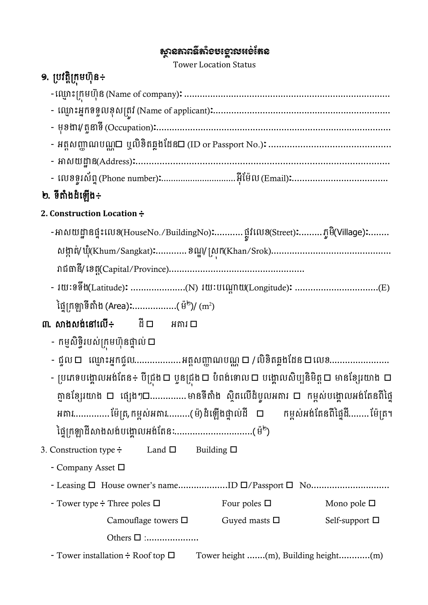## សានគាពន៌តាំ១មទោរបអទតែន

Tower Location Status

# ១. ប្រវត្តិក្រុមហ៊ុន÷

| - មុខងារ/ តូនាទី (Occupation):……………………………………………………………………………… |
|--------------------------------------------------------------|
|                                                              |
|                                                              |
|                                                              |

## ២. ទីតាំងដំឡើង÷

### **2. Construction Location**៖

- -អាសយដ្ឋានផ្ទះលេខ(HouseNo./BuildingNo)**:**...........ផ្លូវលេខ(Street)**:**.........ភ្ជូមិ(Village)**:**........ សងាា រ់/ឃ៊ុាំ(Khum/Sangkat)³............ខ ឌ /ក្សុរ(Khan/Srok).............................................. រាជធានី/ឈខរត(Capital/Province)....................................................
- រយៈទទឹង(Latitude)³ .....................(N) រយៈរឈណាដ យ(Longitude)³ ................................(E) ថ្នៃក្រឡាទីតាំង (Area)**:**................(ម៉<sup>២</sup>)/ (m<sup>2</sup>)
- ៣. សាងសង់នៅលើ÷ ដី $\square$  អគារ $\square$ 
	- − កម្មសិទ្ធិរបស់ក្រមហ៊ុនផ្ទាល់ □
	- ជួល ឈ្ម ោះអ្នរជួល..................អ្រតសញ្ជា រ ណ /លិខិរឆ្លងខែន ឈលខ.......................
	- ប្រភេទបង្គោលអង់តែន÷ បីជ្រុង  $\Box$  ឬនជ្រុង  $\Box$  បំពង់ទោល  $\Box$  បង្គោលសិប្បនិមិត្ត  $\Box$  មានខែ្សរយាង  $\Box$ ភ្នានខ្សែរយាង **ប** ផ្សេងៗ**ប**..............មានទីតាំង ស្ថិតលើដំបូលអគារ **ប** កម្ពស់បង្គោលអង់តែនពីផ្ទៃ អគារ...............ម៉ែត្រ,កម្ពស់អគារ.........(ម៉) ដំឡើងផ្ទាល់ដី □ កម្ពស់អង់តែនពីផ្ទៃដី........ ម៉ែត្រ។ ថ្មៃក្រឡាដីសាងសង់បង្គោលអង់តែនៈ..................................(ម៉<sup>២</sup>)
- 3. Construction type  $\div$  Land  $\square$  Building  $\square$ 
	- Company Asset
	- Leasing House owner's name...................ID /Passport No..............................
	- Tower type  $\div$  Three poles  $\square$  Four poles  $\square$  Mono pole  $\square$ Camouflage towers  $\square$  Guyed masts  $\square$  Self-support  $\square$

Others :....................

- Tower installation  $\div$  Roof top  $\square$  Tower height .......(m), Building height.............(m)